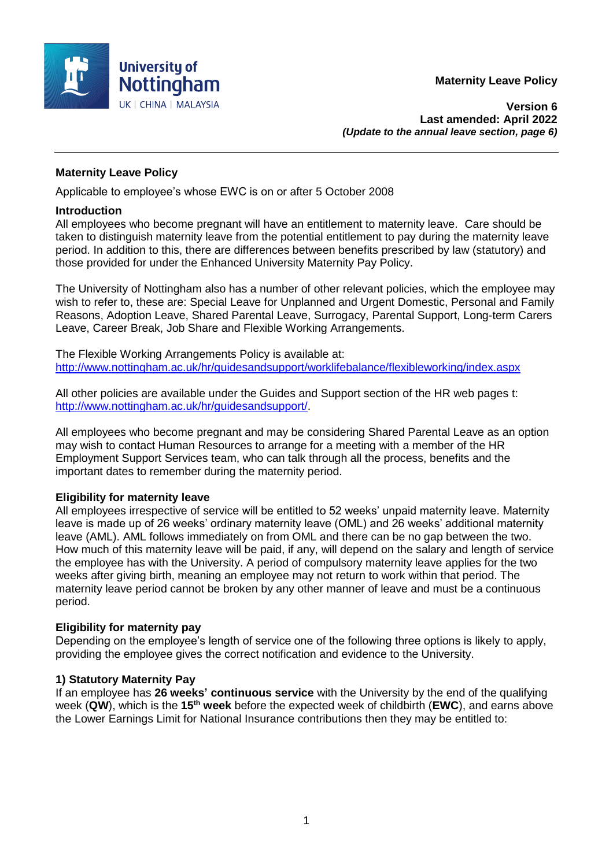

**Version 6 Last amended: April 2022** *(Update to the annual leave section, page 6)*

## **Maternity Leave Policy**

Applicable to employee's whose EWC is on or after 5 October 2008

#### **Introduction**

All employees who become pregnant will have an entitlement to maternity leave. Care should be taken to distinguish maternity leave from the potential entitlement to pay during the maternity leave period. In addition to this, there are differences between benefits prescribed by law (statutory) and those provided for under the Enhanced University Maternity Pay Policy.

The University of Nottingham also has a number of other relevant policies, which the employee may wish to refer to, these are: Special Leave for Unplanned and Urgent Domestic, Personal and Family Reasons, Adoption Leave, Shared Parental Leave, Surrogacy, Parental Support, Long-term Carers Leave, Career Break, Job Share and Flexible Working Arrangements.

The Flexible Working Arrangements Policy is available at: <http://www.nottingham.ac.uk/hr/guidesandsupport/worklifebalance/flexibleworking/index.aspx>

All other policies are available under the Guides and Support section of the HR web pages t: [http://www.nottingham.ac.uk/hr/guidesandsupport/.](http://www.nottingham.ac.uk/hr/guidesandsupport/)

All employees who become pregnant and may be considering Shared Parental Leave as an option may wish to contact Human Resources to arrange for a meeting with a member of the HR Employment Support Services team, who can talk through all the process, benefits and the important dates to remember during the maternity period.

## **Eligibility for maternity leave**

All employees irrespective of service will be entitled to 52 weeks' unpaid maternity leave. Maternity leave is made up of 26 weeks' ordinary maternity leave (OML) and 26 weeks' additional maternity leave (AML). AML follows immediately on from OML and there can be no gap between the two. How much of this maternity leave will be paid, if any, will depend on the salary and length of service the employee has with the University. A period of compulsory maternity leave applies for the two weeks after giving birth, meaning an employee may not return to work within that period. The maternity leave period cannot be broken by any other manner of leave and must be a continuous period.

## **Eligibility for maternity pay**

Depending on the employee's length of service one of the following three options is likely to apply, providing the employee gives the correct notification and evidence to the University.

#### **1) Statutory Maternity Pay**

If an employee has **26 weeks' continuous service** with the University by the end of the qualifying week (**QW**), which is the **15th week** before the expected week of childbirth (**EWC**), and earns above the Lower Earnings Limit for National Insurance contributions then they may be entitled to: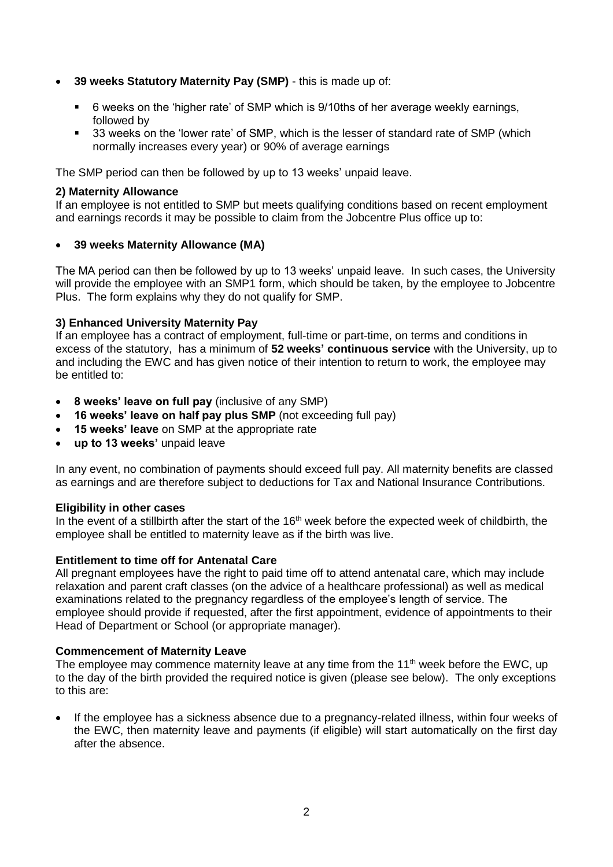- **39 weeks Statutory Maternity Pay (SMP)** this is made up of:
	- 6 weeks on the 'higher rate' of SMP which is 9/10ths of her average weekly earnings, followed by
	- 33 weeks on the 'lower rate' of SMP, which is the lesser of standard rate of SMP (which normally increases every year) or 90% of average earnings

The SMP period can then be followed by up to 13 weeks' unpaid leave.

#### **2) Maternity Allowance**

If an employee is not entitled to SMP but meets qualifying conditions based on recent employment and earnings records it may be possible to claim from the Jobcentre Plus office up to:

## **39 weeks Maternity Allowance (MA)**

The MA period can then be followed by up to 13 weeks' unpaid leave. In such cases, the University will provide the employee with an SMP1 form, which should be taken, by the employee to Jobcentre Plus. The form explains why they do not qualify for SMP.

#### **3) Enhanced University Maternity Pay**

If an employee has a contract of employment, full-time or part-time, on terms and conditions in excess of the statutory, has a minimum of **52 weeks' continuous service** with the University, up to and including the EWC and has given notice of their intention to return to work, the employee may be entitled to:

- **8 weeks' leave on full pay** (inclusive of any SMP)
- **16 weeks' leave on half pay plus SMP** (not exceeding full pay)
- **15 weeks' leave** on SMP at the appropriate rate
- **up to 13 weeks'** unpaid leave

In any event, no combination of payments should exceed full pay. All maternity benefits are classed as earnings and are therefore subject to deductions for Tax and National Insurance Contributions.

#### **Eligibility in other cases**

In the event of a stillbirth after the start of the 16<sup>th</sup> week before the expected week of childbirth, the employee shall be entitled to maternity leave as if the birth was live.

## **Entitlement to time off for Antenatal Care**

All pregnant employees have the right to paid time off to attend antenatal care, which may include relaxation and parent craft classes (on the advice of a healthcare professional) as well as medical examinations related to the pregnancy regardless of the employee's length of service. The employee should provide if requested, after the first appointment, evidence of appointments to their Head of Department or School (or appropriate manager).

#### **Commencement of Maternity Leave**

The employee may commence maternity leave at any time from the  $11<sup>th</sup>$  week before the EWC, up to the day of the birth provided the required notice is given (please see below). The only exceptions to this are:

 If the employee has a sickness absence due to a pregnancy-related illness, within four weeks of the EWC, then maternity leave and payments (if eligible) will start automatically on the first day after the absence.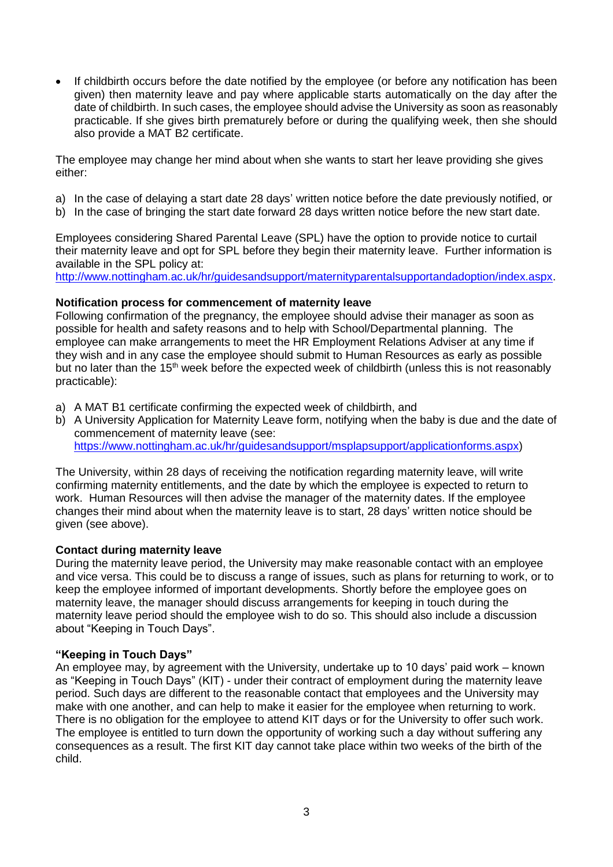If childbirth occurs before the date notified by the employee (or before any notification has been given) then maternity leave and pay where applicable starts automatically on the day after the date of childbirth. In such cases, the employee should advise the University as soon as reasonably practicable. If she gives birth prematurely before or during the qualifying week, then she should also provide a MAT B2 certificate.

The employee may change her mind about when she wants to start her leave providing she gives either:

- a) In the case of delaying a start date 28 days' written notice before the date previously notified, or
- b) In the case of bringing the start date forward 28 days written notice before the new start date.

Employees considering Shared Parental Leave (SPL) have the option to provide notice to curtail their maternity leave and opt for SPL before they begin their maternity leave. Further information is available in the SPL policy at:

[http://www.nottingham.ac.uk/hr/guidesandsupport/maternityparentalsupportandadoption/index.aspx.](http://www.nottingham.ac.uk/hr/guidesandsupport/maternityparentalsupportandadoption/index.aspx)

#### **Notification process for commencement of maternity leave**

Following confirmation of the pregnancy, the employee should advise their manager as soon as possible for health and safety reasons and to help with School/Departmental planning. The employee can make arrangements to meet the HR Employment Relations Adviser at any time if they wish and in any case the employee should submit to Human Resources as early as possible but no later than the 15<sup>th</sup> week before the expected week of childbirth (unless this is not reasonably practicable):

- a) A MAT B1 certificate confirming the expected week of childbirth, and
- b) A University Application for Maternity Leave form, notifying when the baby is due and the date of commencement of maternity leave (see: [https://www.nottingham.ac.uk/hr/guidesandsupport/msplapsupport/applicationforms.aspx\)](https://www.nottingham.ac.uk/hr/guidesandsupport/msplapsupport/applicationforms.aspx)

The University, within 28 days of receiving the notification regarding maternity leave, will write confirming maternity entitlements, and the date by which the employee is expected to return to work. Human Resources will then advise the manager of the maternity dates. If the employee changes their mind about when the maternity leave is to start, 28 days' written notice should be given (see above).

## **Contact during maternity leave**

During the maternity leave period, the University may make reasonable contact with an employee and vice versa. This could be to discuss a range of issues, such as plans for returning to work, or to keep the employee informed of important developments. Shortly before the employee goes on maternity leave, the manager should discuss arrangements for keeping in touch during the maternity leave period should the employee wish to do so. This should also include a discussion about "Keeping in Touch Days".

## **"Keeping in Touch Days"**

An employee may, by agreement with the University, undertake up to 10 days' paid work – known as "Keeping in Touch Days" (KIT) - under their contract of employment during the maternity leave period. Such days are different to the reasonable contact that employees and the University may make with one another, and can help to make it easier for the employee when returning to work. There is no obligation for the employee to attend KIT days or for the University to offer such work. The employee is entitled to turn down the opportunity of working such a day without suffering any consequences as a result. The first KIT day cannot take place within two weeks of the birth of the child.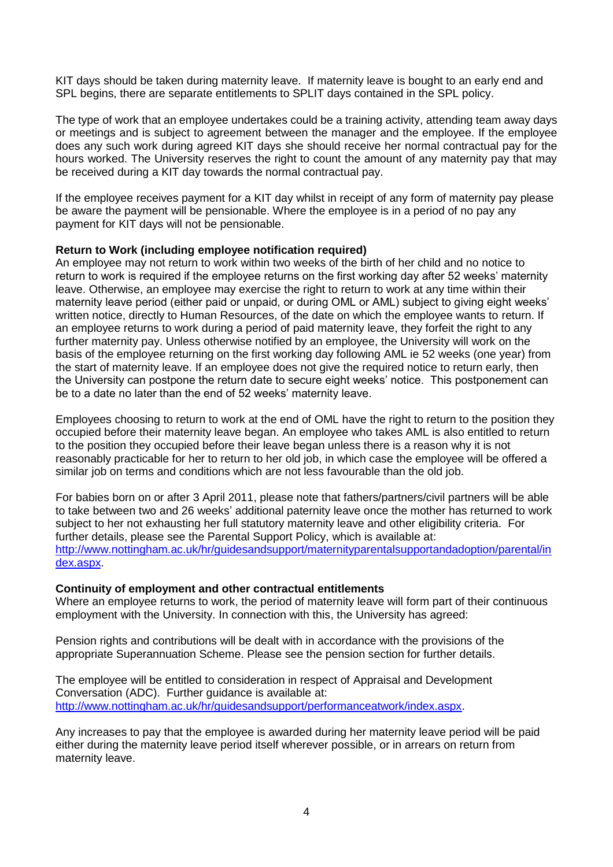KIT days should be taken during maternity leave. If maternity leave is bought to an early end and SPL begins, there are separate entitlements to SPLIT days contained in the SPL policy.

The type of work that an employee undertakes could be a training activity, attending team away days or meetings and is subject to agreement between the manager and the employee. If the employee does any such work during agreed KIT days she should receive her normal contractual pay for the hours worked. The University reserves the right to count the amount of any maternity pay that may be received during a KIT day towards the normal contractual pay.

If the employee receives payment for a KIT day whilst in receipt of any form of maternity pay please be aware the payment will be pensionable. Where the employee is in a period of no pay any payment for KIT days will not be pensionable.

#### **Return to Work (including employee notification required)**

An employee may not return to work within two weeks of the birth of her child and no notice to return to work is required if the employee returns on the first working day after 52 weeks' maternity leave. Otherwise, an employee may exercise the right to return to work at any time within their maternity leave period (either paid or unpaid, or during OML or AML) subject to giving eight weeks' written notice, directly to Human Resources, of the date on which the employee wants to return. If an employee returns to work during a period of paid maternity leave, they forfeit the right to any further maternity pay. Unless otherwise notified by an employee, the University will work on the basis of the employee returning on the first working day following AML ie 52 weeks (one year) from the start of maternity leave. If an employee does not give the required notice to return early, then the University can postpone the return date to secure eight weeks' notice. This postponement can be to a date no later than the end of 52 weeks' maternity leave.

Employees choosing to return to work at the end of OML have the right to return to the position they occupied before their maternity leave began. An employee who takes AML is also entitled to return to the position they occupied before their leave began unless there is a reason why it is not reasonably practicable for her to return to her old job, in which case the employee will be offered a similar job on terms and conditions which are not less favourable than the old job.

For babies born on or after 3 April 2011, please note that fathers/partners/civil partners will be able to take between two and 26 weeks' additional paternity leave once the mother has returned to work subject to her not exhausting her full statutory maternity leave and other eligibility criteria. For further details, please see the Parental Support Policy, which is available at: [http://www.nottingham.ac.uk/hr/guidesandsupport/maternityparentalsupportandadoption/parental/in](http://www.nottingham.ac.uk/hr/guidesandsupport/maternityparentalsupportandadoption/parental/index.aspx) [dex.aspx.](http://www.nottingham.ac.uk/hr/guidesandsupport/maternityparentalsupportandadoption/parental/index.aspx)

#### **Continuity of employment and other contractual entitlements**

Where an employee returns to work, the period of maternity leave will form part of their continuous employment with the University. In connection with this, the University has agreed:

Pension rights and contributions will be dealt with in accordance with the provisions of the appropriate Superannuation Scheme. Please see the pension section for further details.

The employee will be entitled to consideration in respect of Appraisal and Development Conversation (ADC). Further guidance is available at: [http://www.nottingham.ac.uk/hr/guidesandsupport/performanceatwork/index.aspx.](http://www.nottingham.ac.uk/hr/guidesandsupport/performanceatwork/index.aspx)

Any increases to pay that the employee is awarded during her maternity leave period will be paid either during the maternity leave period itself wherever possible, or in arrears on return from maternity leave.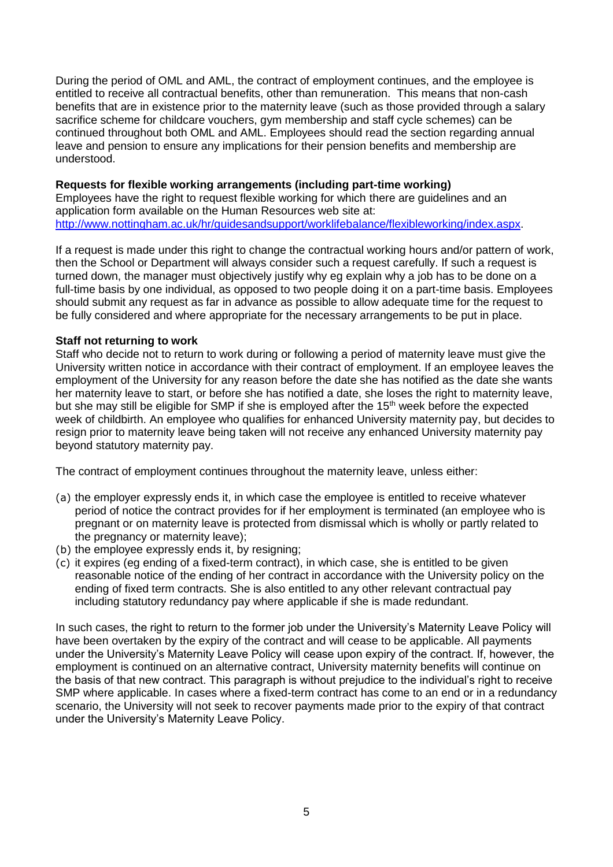During the period of OML and AML, the contract of employment continues, and the employee is entitled to receive all contractual benefits, other than remuneration. This means that non-cash benefits that are in existence prior to the maternity leave (such as those provided through a salary sacrifice scheme for childcare vouchers, gym membership and staff cycle schemes) can be continued throughout both OML and AML. Employees should read the section regarding annual leave and pension to ensure any implications for their pension benefits and membership are understood.

#### **Requests for flexible working arrangements (including part-time working)**

Employees have the right to request flexible working for which there are guidelines and an application form available on the Human Resources web site at: [http://www.nottingham.ac.uk/hr/guidesandsupport/worklifebalance/flexibleworking/index.aspx.](http://www.nottingham.ac.uk/hr/guidesandsupport/worklifebalance/flexibleworking/index.aspx)

If a request is made under this right to change the contractual working hours and/or pattern of work, then the School or Department will always consider such a request carefully. If such a request is turned down, the manager must objectively justify why eg explain why a job has to be done on a full-time basis by one individual, as opposed to two people doing it on a part-time basis. Employees should submit any request as far in advance as possible to allow adequate time for the request to be fully considered and where appropriate for the necessary arrangements to be put in place.

## **Staff not returning to work**

Staff who decide not to return to work during or following a period of maternity leave must give the University written notice in accordance with their contract of employment. If an employee leaves the employment of the University for any reason before the date she has notified as the date she wants her maternity leave to start, or before she has notified a date, she loses the right to maternity leave, but she may still be eligible for SMP if she is employed after the 15<sup>th</sup> week before the expected week of childbirth. An employee who qualifies for enhanced University maternity pay, but decides to resign prior to maternity leave being taken will not receive any enhanced University maternity pay beyond statutory maternity pay.

The contract of employment continues throughout the maternity leave, unless either:

- (a) the employer expressly ends it, in which case the employee is entitled to receive whatever period of notice the contract provides for if her employment is terminated (an employee who is pregnant or on maternity leave is protected from dismissal which is wholly or partly related to the pregnancy or maternity leave);
- (b) the employee expressly ends it, by resigning;
- (c) it expires (eg ending of a fixed-term contract), in which case, she is entitled to be given reasonable notice of the ending of her contract in accordance with the University policy on the ending of fixed term contracts. She is also entitled to any other relevant contractual pay including statutory redundancy pay where applicable if she is made redundant.

In such cases, the right to return to the former job under the University's Maternity Leave Policy will have been overtaken by the expiry of the contract and will cease to be applicable. All payments under the University's Maternity Leave Policy will cease upon expiry of the contract. If, however, the employment is continued on an alternative contract, University maternity benefits will continue on the basis of that new contract. This paragraph is without prejudice to the individual's right to receive SMP where applicable. In cases where a fixed-term contract has come to an end or in a redundancy scenario, the University will not seek to recover payments made prior to the expiry of that contract under the University's Maternity Leave Policy.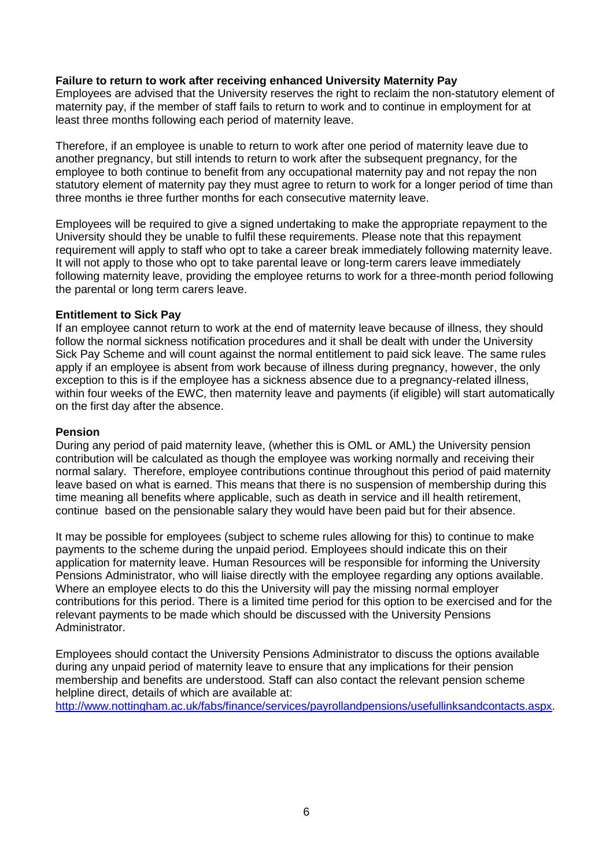## **Failure to return to work after receiving enhanced University Maternity Pay**

Employees are advised that the University reserves the right to reclaim the non-statutory element of maternity pay, if the member of staff fails to return to work and to continue in employment for at least three months following each period of maternity leave.

Therefore, if an employee is unable to return to work after one period of maternity leave due to another pregnancy, but still intends to return to work after the subsequent pregnancy, for the employee to both continue to benefit from any occupational maternity pay and not repay the non statutory element of maternity pay they must agree to return to work for a longer period of time than three months ie three further months for each consecutive maternity leave.

Employees will be required to give a signed undertaking to make the appropriate repayment to the University should they be unable to fulfil these requirements. Please note that this repayment requirement will apply to staff who opt to take a career break immediately following maternity leave. It will not apply to those who opt to take parental leave or long-term carers leave immediately following maternity leave, providing the employee returns to work for a three-month period following the parental or long term carers leave.

## **Entitlement to Sick Pay**

If an employee cannot return to work at the end of maternity leave because of illness, they should follow the normal sickness notification procedures and it shall be dealt with under the University Sick Pay Scheme and will count against the normal entitlement to paid sick leave. The same rules apply if an employee is absent from work because of illness during pregnancy, however, the only exception to this is if the employee has a sickness absence due to a pregnancy-related illness, within four weeks of the EWC, then maternity leave and payments (if eligible) will start automatically on the first day after the absence.

## **Pension**

During any period of paid maternity leave, (whether this is OML or AML) the University pension contribution will be calculated as though the employee was working normally and receiving their normal salary. Therefore, employee contributions continue throughout this period of paid maternity leave based on what is earned. This means that there is no suspension of membership during this time meaning all benefits where applicable, such as death in service and ill health retirement, continue based on the pensionable salary they would have been paid but for their absence.

It may be possible for employees (subject to scheme rules allowing for this) to continue to make payments to the scheme during the unpaid period. Employees should indicate this on their application for maternity leave. Human Resources will be responsible for informing the University Pensions Administrator, who will liaise directly with the employee regarding any options available. Where an employee elects to do this the University will pay the missing normal employer contributions for this period. There is a limited time period for this option to be exercised and for the relevant payments to be made which should be discussed with the University Pensions Administrator.

Employees should contact the University Pensions Administrator to discuss the options available during any unpaid period of maternity leave to ensure that any implications for their pension membership and benefits are understood. Staff can also contact the relevant pension scheme helpline direct, details of which are available at:

[http://www.nottingham.ac.uk/fabs/finance/services/payrollandpensions/usefullinksandcontacts.aspx.](http://www.nottingham.ac.uk/fabs/finance/services/payrollandpensions/usefullinksandcontacts.aspx)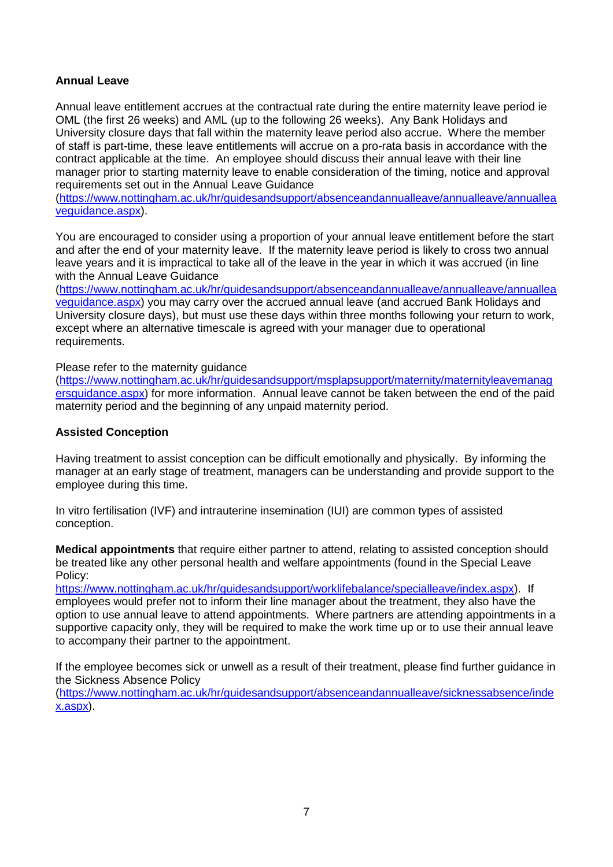# **Annual Leave**

Annual leave entitlement accrues at the contractual rate during the entire maternity leave period ie OML (the first 26 weeks) and AML (up to the following 26 weeks). Any Bank Holidays and University closure days that fall within the maternity leave period also accrue. Where the member of staff is part-time, these leave entitlements will accrue on a pro-rata basis in accordance with the contract applicable at the time. An employee should discuss their annual leave with their line manager prior to starting maternity leave to enable consideration of the timing, notice and approval requirements set out in the Annual Leave Guidance

[\(https://www.nottingham.ac.uk/hr/guidesandsupport/absenceandannualleave/annualleave/annuallea](https://www.nottingham.ac.uk/hr/guidesandsupport/absenceandannualleave/annualleave/annuallea%20veguidance.aspx)  [veguidance.aspx\)](https://www.nottingham.ac.uk/hr/guidesandsupport/absenceandannualleave/annualleave/annuallea%20veguidance.aspx).

You are encouraged to consider using a proportion of your annual leave entitlement before the start and after the end of your maternity leave. If the maternity leave period is likely to cross two annual leave years and it is impractical to take all of the leave in the year in which it was accrued (in line with the Annual Leave Guidance

[\(https://www.nottingham.ac.uk/hr/guidesandsupport/absenceandannualleave/annualleave/annuallea](https://www.nottingham.ac.uk/hr/guidesandsupport/absenceandannualleave/annualleave/annuallea%20veguidance.aspx)  [veguidance.aspx\)](https://www.nottingham.ac.uk/hr/guidesandsupport/absenceandannualleave/annualleave/annuallea%20veguidance.aspx) you may carry over the accrued annual leave (and accrued Bank Holidays and University closure days), but must use these days within three months following your return to work, except where an alternative timescale is agreed with your manager due to operational requirements.

Please refer to the maternity guidance

[\(https://www.nottingham.ac.uk/hr/guidesandsupport/msplapsupport/maternity/maternityleavemanag](https://www.nottingham.ac.uk/hr/guidesandsupport/msplapsupport/maternity/maternityleavemanagersguidance.aspx) [ersguidance.aspx\)](https://www.nottingham.ac.uk/hr/guidesandsupport/msplapsupport/maternity/maternityleavemanagersguidance.aspx) for more information. Annual leave cannot be taken between the end of the paid maternity period and the beginning of any unpaid maternity period.

#### **Assisted Conception**

Having treatment to assist conception can be difficult emotionally and physically. By informing the manager at an early stage of treatment, managers can be understanding and provide support to the employee during this time.

In vitro fertilisation (IVF) and intrauterine insemination (IUI) are common types of assisted conception.

**Medical appointments** that require either partner to attend, relating to assisted conception should be treated like any other personal health and welfare appointments (found in the Special Leave Policy:

[https://www.nottingham.ac.uk/hr/guidesandsupport/worklifebalance/specialleave/index.aspx\)](https://www.nottingham.ac.uk/hr/guidesandsupport/worklifebalance/specialleave/index.aspx). If employees would prefer not to inform their line manager about the treatment, they also have the option to use annual leave to attend appointments. Where partners are attending appointments in a supportive capacity only, they will be required to make the work time up or to use their annual leave to accompany their partner to the appointment.

If the employee becomes sick or unwell as a result of their treatment, please find further guidance in the Sickness Absence Policy

[\(https://www.nottingham.ac.uk/hr/guidesandsupport/absenceandannualleave/sicknessabsence/inde](https://www.nottingham.ac.uk/hr/guidesandsupport/absenceandannualleave/sicknessabsence/index.aspx) [x.aspx\)](https://www.nottingham.ac.uk/hr/guidesandsupport/absenceandannualleave/sicknessabsence/index.aspx).